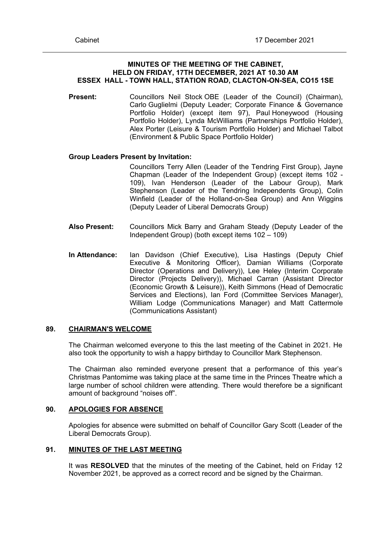## **MINUTES OF THE MEETING OF THE CABINET, HELD ON FRIDAY, 17TH DECEMBER, 2021 AT 10.30 AM ESSEX HALL - TOWN HALL, STATION ROAD, CLACTON-ON-SEA, CO15 1SE**

**Present:** Councillors Neil Stock OBE (Leader of the Council) (Chairman), Carlo Guglielmi (Deputy Leader; Corporate Finance & Governance Portfolio Holder) (except item 97), Paul Honeywood (Housing Portfolio Holder), Lynda McWilliams (Partnerships Portfolio Holder), Alex Porter (Leisure & Tourism Portfolio Holder) and Michael Talbot (Environment & Public Space Portfolio Holder)

## **Group Leaders Present by Invitation:**

Councillors Terry Allen (Leader of the Tendring First Group), Jayne Chapman (Leader of the Independent Group) (except items 102 - 109), Ivan Henderson (Leader of the Labour Group), Mark Stephenson (Leader of the Tendring Independents Group), Colin Winfield (Leader of the Holland-on-Sea Group) and Ann Wiggins (Deputy Leader of Liberal Democrats Group)

- **Also Present:** Councillors Mick Barry and Graham Steady (Deputy Leader of the Independent Group) (both except items 102 – 109)
- **In Attendance:** Ian Davidson (Chief Executive), Lisa Hastings (Deputy Chief Executive & Monitoring Officer), Damian Williams (Corporate Director (Operations and Delivery)), Lee Heley (Interim Corporate Director (Projects Delivery)), Michael Carran (Assistant Director (Economic Growth & Leisure)), Keith Simmons (Head of Democratic Services and Elections), Ian Ford (Committee Services Manager), William Lodge (Communications Manager) and Matt Cattermole (Communications Assistant)

## **89. CHAIRMAN'S WELCOME**

The Chairman welcomed everyone to this the last meeting of the Cabinet in 2021. He also took the opportunity to wish a happy birthday to Councillor Mark Stephenson.

The Chairman also reminded everyone present that a performance of this year's Christmas Pantomime was taking place at the same time in the Princes Theatre which a large number of school children were attending. There would therefore be a significant amount of background "noises off".

# **90. APOLOGIES FOR ABSENCE**

Apologies for absence were submitted on behalf of Councillor Gary Scott (Leader of the Liberal Democrats Group).

## **91. MINUTES OF THE LAST MEETING**

It was **RESOLVED** that the minutes of the meeting of the Cabinet, held on Friday 12 November 2021, be approved as a correct record and be signed by the Chairman.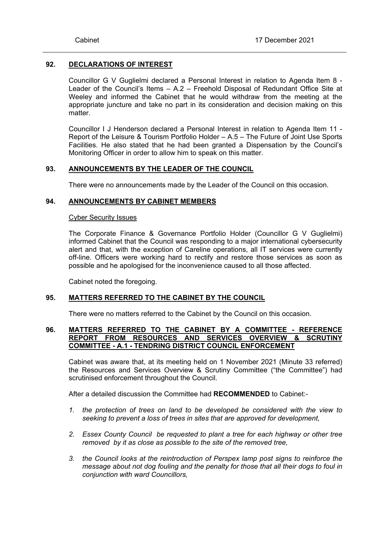## **92. DECLARATIONS OF INTEREST**

Councillor G V Guglielmi declared a Personal Interest in relation to Agenda Item 8 - Leader of the Council's Items – A.2 – Freehold Disposal of Redundant Office Site at Weeley and informed the Cabinet that he would withdraw from the meeting at the appropriate juncture and take no part in its consideration and decision making on this matter.

Councillor I J Henderson declared a Personal Interest in relation to Agenda Item 11 - Report of the Leisure & Tourism Portfolio Holder – A.5 – The Future of Joint Use Sports Facilities. He also stated that he had been granted a Dispensation by the Council's Monitoring Officer in order to allow him to speak on this matter.

## **93. ANNOUNCEMENTS BY THE LEADER OF THE COUNCIL**

There were no announcements made by the Leader of the Council on this occasion.

## **94. ANNOUNCEMENTS BY CABINET MEMBERS**

#### Cyber Security Issues

The Corporate Finance & Governance Portfolio Holder (Councillor G V Guglielmi) informed Cabinet that the Council was responding to a major international cybersecurity alert and that, with the exception of Careline operations, all IT services were currently off-line. Officers were working hard to rectify and restore those services as soon as possible and he apologised for the inconvenience caused to all those affected.

Cabinet noted the foregoing.

# **95. MATTERS REFERRED TO THE CABINET BY THE COUNCIL**

There were no matters referred to the Cabinet by the Council on this occasion.

## **96. MATTERS REFERRED TO THE CABINET BY A COMMITTEE - REFERENCE REPORT FROM RESOURCES AND SERVICES OVERVIEW & SCRUTINY COMMITTEE - A.1 - TENDRING DISTRICT COUNCIL ENFORCEMENT**

Cabinet was aware that, at its meeting held on 1 November 2021 (Minute 33 referred) the Resources and Services Overview & Scrutiny Committee ("the Committee") had scrutinised enforcement throughout the Council.

After a detailed discussion the Committee had **RECOMMENDED** to Cabinet:-

- *1. the protection of trees on land to be developed be considered with the view to seeking to prevent a loss of trees in sites that are approved for development,*
- *2. Essex County Council be requested to plant a tree for each highway or other tree removed by it as close as possible to the site of the removed tree,*
- *3. the Council looks at the reintroduction of Perspex lamp post signs to reinforce the message about not dog fouling and the penalty for those that all their dogs to foul in conjunction with ward Councillors,*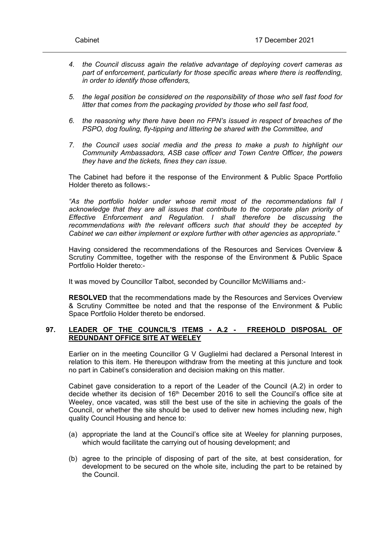- *4. the Council discuss again the relative advantage of deploying covert cameras as part of enforcement, particularly for those specific areas where there is reoffending, in order to identify those offenders,*
- *5. the legal position be considered on the responsibility of those who sell fast food for litter that comes from the packaging provided by those who sell fast food,*
- *6. the reasoning why there have been no FPN's issued in respect of breaches of the PSPO, dog fouling, fly-tipping and littering be shared with the Committee, and*
- *7. the Council uses social media and the press to make a push to highlight our Community Ambassadors, ASB case officer and Town Centre Officer, the powers they have and the tickets, fines they can issue.*

The Cabinet had before it the response of the Environment & Public Space Portfolio Holder thereto as follows:-

*"As the portfolio holder under whose remit most of the recommendations fall I acknowledge that they are all issues that contribute to the corporate plan priority of Effective Enforcement and Regulation. I shall therefore be discussing the recommendations with the relevant officers such that should they be accepted by Cabinet we can either implement or explore further with other agencies as appropriate."*

Having considered the recommendations of the Resources and Services Overview & Scrutiny Committee, together with the response of the Environment & Public Space Portfolio Holder thereto:-

It was moved by Councillor Talbot, seconded by Councillor McWilliams and:-

**RESOLVED** that the recommendations made by the Resources and Services Overview & Scrutiny Committee be noted and that the response of the Environment & Public Space Portfolio Holder thereto be endorsed.

# **97. LEADER OF THE COUNCIL'S ITEMS - A.2 - FREEHOLD DISPOSAL OF REDUNDANT OFFICE SITE AT WEELEY**

Earlier on in the meeting Councillor G V Guglielmi had declared a Personal Interest in relation to this item. He thereupon withdraw from the meeting at this juncture and took no part in Cabinet's consideration and decision making on this matter.

Cabinet gave consideration to a report of the Leader of the Council (A.2) in order to decide whether its decision of 16<sup>th</sup> December 2016 to sell the Council's office site at Weeley, once vacated, was still the best use of the site in achieving the goals of the Council, or whether the site should be used to deliver new homes including new, high quality Council Housing and hence to:

- (a) appropriate the land at the Council's office site at Weeley for planning purposes, which would facilitate the carrying out of housing development; and
- (b) agree to the principle of disposing of part of the site, at best consideration, for development to be secured on the whole site, including the part to be retained by the Council.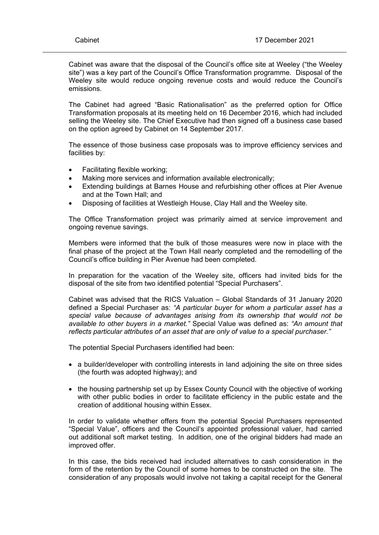Cabinet was aware that the disposal of the Council's office site at Weeley ("the Weeley site") was a key part of the Council's Office Transformation programme. Disposal of the Weeley site would reduce ongoing revenue costs and would reduce the Council's emissions.

The Cabinet had agreed "Basic Rationalisation" as the preferred option for Office Transformation proposals at its meeting held on 16 December 2016, which had included selling the Weeley site. The Chief Executive had then signed off a business case based on the option agreed by Cabinet on 14 September 2017.

The essence of those business case proposals was to improve efficiency services and facilities by:

- Facilitating flexible working;
- Making more services and information available electronically;
- Extending buildings at Barnes House and refurbishing other offices at Pier Avenue and at the Town Hall; and
- Disposing of facilities at Westleigh House, Clay Hall and the Weeley site.

The Office Transformation project was primarily aimed at service improvement and ongoing revenue savings.

Members were informed that the bulk of those measures were now in place with the final phase of the project at the Town Hall nearly completed and the remodelling of the Council's office building in Pier Avenue had been completed.

In preparation for the vacation of the Weeley site, officers had invited bids for the disposal of the site from two identified potential "Special Purchasers".

Cabinet was advised that the RICS Valuation – Global Standards of 31 January 2020 defined a Special Purchaser as: *"A particular buyer for whom a particular asset has a special value because of advantages arising from its ownership that would not be available to other buyers in a market."* Special Value was defined as: *"An amount that reflects particular attributes of an asset that are only of value to a special purchaser."*

The potential Special Purchasers identified had been:

- a builder/developer with controlling interests in land adjoining the site on three sides (the fourth was adopted highway); and
- the housing partnership set up by Essex County Council with the objective of working with other public bodies in order to facilitate efficiency in the public estate and the creation of additional housing within Essex.

In order to validate whether offers from the potential Special Purchasers represented "Special Value", officers and the Council's appointed professional valuer, had carried out additional soft market testing. In addition, one of the original bidders had made an improved offer.

In this case, the bids received had included alternatives to cash consideration in the form of the retention by the Council of some homes to be constructed on the site. The consideration of any proposals would involve not taking a capital receipt for the General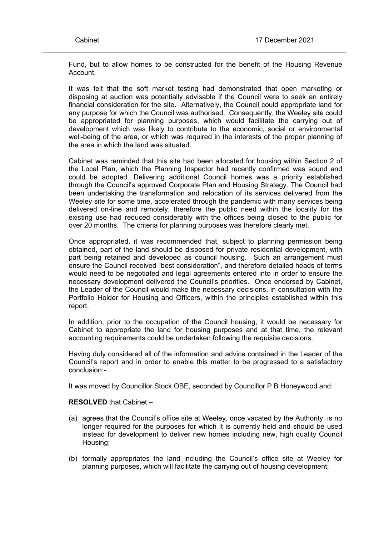Fund, but to allow homes to be constructed for the benefit of the Housing Revenue Account.

It was felt that the soft market testing had demonstrated that open marketing or disposing at auction was potentially advisable if the Council were to seek an entirely financial consideration for the site. Alternatively, the Council could appropriate land for any purpose for which the Council was authorised. Consequently, the Weeley site could be appropriated for planning purposes, which would facilitate the carrying out of development which was likely to contribute to the economic, social or environmental well-being of the area, or which was required in the interests of the proper planning of the area in which the land was situated.

Cabinet was reminded that this site had been allocated for housing within Section 2 of the Local Plan, which the Planning Inspector had recently confirmed was sound and could be adopted. Delivering additional Council homes was a priority established through the Council's approved Corporate Plan and Housing Strategy. The Council had been undertaking the transformation and relocation of its services delivered from the Weeley site for some time, accelerated through the pandemic with many services being delivered on-line and remotely, therefore the public need within the locality for the existing use had reduced considerably with the offices being closed to the public for over 20 months. The criteria for planning purposes was therefore clearly met.

Once appropriated, it was recommended that, subject to planning permission being obtained, part of the land should be disposed for private residential development, with part being retained and developed as council housing. Such an arrangement must ensure the Council received "best consideration", and therefore detailed heads of terms would need to be negotiated and legal agreements entered into in order to ensure the necessary development delivered the Council's priorities. Once endorsed by Cabinet, the Leader of the Council would make the necessary decisions, in consultation with the Portfolio Holder for Housing and Officers, within the principles established within this report.

In addition, prior to the occupation of the Council housing, it would be necessary for Cabinet to appropriate the land for housing purposes and at that time, the relevant accounting requirements could be undertaken following the requisite decisions.

Having duly considered all of the information and advice contained in the Leader of the Council's report and in order to enable this matter to be progressed to a satisfactory conclusion:-

It was moved by Councillor Stock OBE, seconded by Councillor P B Honeywood and:

#### **RESOLVED** that Cabinet –

- (a) agrees that the Council's office site at Weeley, once vacated by the Authority, is no longer required for the purposes for which it is currently held and should be used instead for development to deliver new homes including new, high quality Council Housing;
- (b) formally appropriates the land including the Council's office site at Weeley for planning purposes, which will facilitate the carrying out of housing development;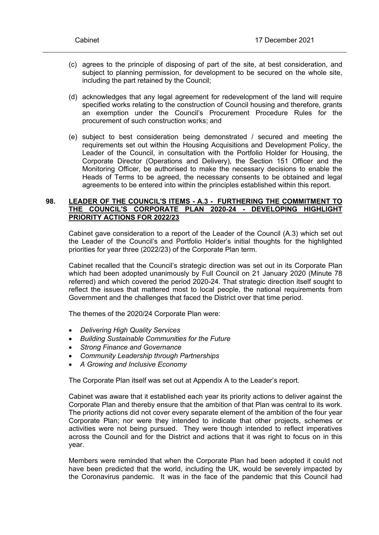- (c) agrees to the principle of disposing of part of the site, at best consideration, and subject to planning permission, for development to be secured on the whole site, including the part retained by the Council;
- (d) acknowledges that any legal agreement for redevelopment of the land will require specified works relating to the construction of Council housing and therefore, grants an exemption under the Council's Procurement Procedure Rules for the procurement of such construction works; and
- (e) subject to best consideration being demonstrated / secured and meeting the requirements set out within the Housing Acquisitions and Development Policy, the Leader of the Council, in consultation with the Portfolio Holder for Housing, the Corporate Director (Operations and Delivery), the Section 151 Officer and the Monitoring Officer, be authorised to make the necessary decisions to enable the Heads of Terms to be agreed, the necessary consents to be obtained and legal agreements to be entered into within the principles established within this report.

### **98. LEADER OF THE COUNCIL'S ITEMS - A.3 - FURTHERING THE COMMITMENT TO THE COUNCIL'S CORPORATE PLAN 2020-24 - DEVELOPING HIGHLIGHT PRIORITY ACTIONS FOR 2022/23**

Cabinet gave consideration to a report of the Leader of the Council (A.3) which set out the Leader of the Council's and Portfolio Holder's initial thoughts for the highlighted priorities for year three (2022/23) of the Corporate Plan term.

Cabinet recalled that the Council's strategic direction was set out in its Corporate Plan which had been adopted unanimously by Full Council on 21 January 2020 (Minute 78 referred) and which covered the period 2020-24. That strategic direction itself sought to reflect the issues that mattered most to local people, the national requirements from Government and the challenges that faced the District over that time period.

The themes of the 2020/24 Corporate Plan were:

- *Delivering High Quality Services*
- *Building Sustainable Communities for the Future*
- *Strong Finance and Governance*
- *Community Leadership through Partnerships*
- *A Growing and Inclusive Economy*

The Corporate Plan itself was set out at Appendix A to the Leader's report.

Cabinet was aware that it established each year its priority actions to deliver against the Corporate Plan and thereby ensure that the ambition of that Plan was central to its work. The priority actions did not cover every separate element of the ambition of the four year Corporate Plan; nor were they intended to indicate that other projects, schemes or activities were not being pursued. They were though intended to reflect imperatives across the Council and for the District and actions that it was right to focus on in this year.

Members were reminded that when the Corporate Plan had been adopted it could not have been predicted that the world, including the UK, would be severely impacted by the Coronavirus pandemic. It was in the face of the pandemic that this Council had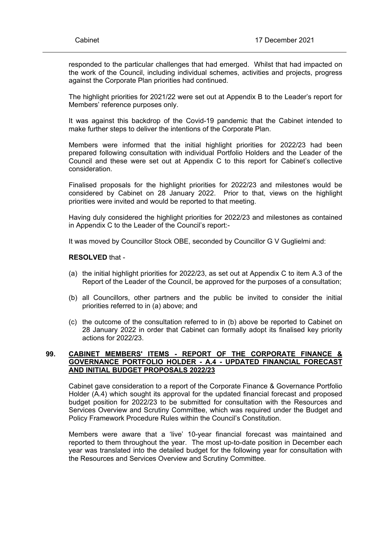responded to the particular challenges that had emerged. Whilst that had impacted on the work of the Council, including individual schemes, activities and projects, progress against the Corporate Plan priorities had continued.

The highlight priorities for 2021/22 were set out at Appendix B to the Leader's report for Members' reference purposes only.

It was against this backdrop of the Covid-19 pandemic that the Cabinet intended to make further steps to deliver the intentions of the Corporate Plan.

Members were informed that the initial highlight priorities for 2022/23 had been prepared following consultation with individual Portfolio Holders and the Leader of the Council and these were set out at Appendix C to this report for Cabinet's collective consideration.

Finalised proposals for the highlight priorities for 2022/23 and milestones would be considered by Cabinet on 28 January 2022. Prior to that, views on the highlight priorities were invited and would be reported to that meeting.

Having duly considered the highlight priorities for 2022/23 and milestones as contained in Appendix C to the Leader of the Council's report:-

It was moved by Councillor Stock OBE, seconded by Councillor G V Guglielmi and:

#### **RESOLVED** that -

- (a) the initial highlight priorities for 2022/23, as set out at Appendix C to item A.3 of the Report of the Leader of the Council, be approved for the purposes of a consultation;
- (b) all Councillors, other partners and the public be invited to consider the initial priorities referred to in (a) above; and
- (c) the outcome of the consultation referred to in (b) above be reported to Cabinet on 28 January 2022 in order that Cabinet can formally adopt its finalised key priority actions for 2022/23.

## **99. CABINET MEMBERS' ITEMS - REPORT OF THE CORPORATE FINANCE & GOVERNANCE PORTFOLIO HOLDER - A.4 - UPDATED FINANCIAL FORECAST AND INITIAL BUDGET PROPOSALS 2022/23**

Cabinet gave consideration to a report of the Corporate Finance & Governance Portfolio Holder (A.4) which sought its approval for the updated financial forecast and proposed budget position for 2022/23 to be submitted for consultation with the Resources and Services Overview and Scrutiny Committee, which was required under the Budget and Policy Framework Procedure Rules within the Council's Constitution.

Members were aware that a 'live' 10-year financial forecast was maintained and reported to them throughout the year. The most up-to-date position in December each year was translated into the detailed budget for the following year for consultation with the Resources and Services Overview and Scrutiny Committee.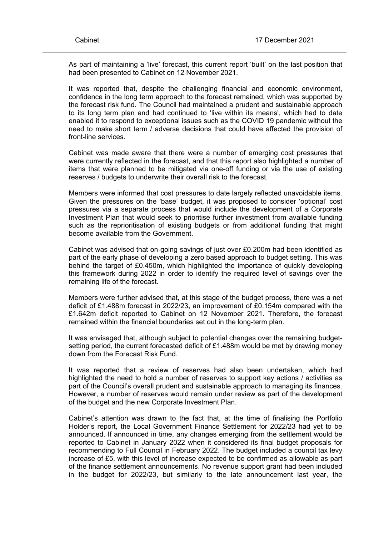As part of maintaining a 'live' forecast, this current report 'built' on the last position that had been presented to Cabinet on 12 November 2021.

It was reported that, despite the challenging financial and economic environment, confidence in the long term approach to the forecast remained, which was supported by the forecast risk fund. The Council had maintained a prudent and sustainable approach to its long term plan and had continued to 'live within its means', which had to date enabled it to respond to exceptional issues such as the COVID 19 pandemic without the need to make short term / adverse decisions that could have affected the provision of front-line services.

Cabinet was made aware that there were a number of emerging cost pressures that were currently reflected in the forecast, and that this report also highlighted a number of items that were planned to be mitigated via one-off funding or via the use of existing reserves / budgets to underwrite their overall risk to the forecast.

Members were informed that cost pressures to date largely reflected unavoidable items. Given the pressures on the 'base' budget, it was proposed to consider 'optional' cost pressures via a separate process that would include the development of a Corporate Investment Plan that would seek to prioritise further investment from available funding such as the reprioritisation of existing budgets or from additional funding that might become available from the Government.

Cabinet was advised that on-going savings of just over £0.200m had been identified as part of the early phase of developing a zero based approach to budget setting. This was behind the target of £0.450m, which highlighted the importance of quickly developing this framework during 2022 in order to identify the required level of savings over the remaining life of the forecast.

Members were further advised that, at this stage of the budget process, there was a net deficit of £1.488m forecast in 2022/23**,** an improvement of £0.154m compared with the £1.642m deficit reported to Cabinet on 12 November 2021. Therefore, the forecast remained within the financial boundaries set out in the long-term plan.

It was envisaged that, although subject to potential changes over the remaining budgetsetting period, the current forecasted deficit of £1.488m would be met by drawing money down from the Forecast Risk Fund.

It was reported that a review of reserves had also been undertaken, which had highlighted the need to hold a number of reserves to support key actions / activities as part of the Council's overall prudent and sustainable approach to managing its finances. However, a number of reserves would remain under review as part of the development of the budget and the new Corporate Investment Plan.

Cabinet's attention was drawn to the fact that, at the time of finalising the Portfolio Holder's report, the Local Government Finance Settlement for 2022/23 had yet to be announced. If announced in time, any changes emerging from the settlement would be reported to Cabinet in January 2022 when it considered its final budget proposals for recommending to Full Council in February 2022. The budget included a council tax levy increase of £5, with this level of increase expected to be confirmed as allowable as part of the finance settlement announcements. No revenue support grant had been included in the budget for 2022/23, but similarly to the late announcement last year, the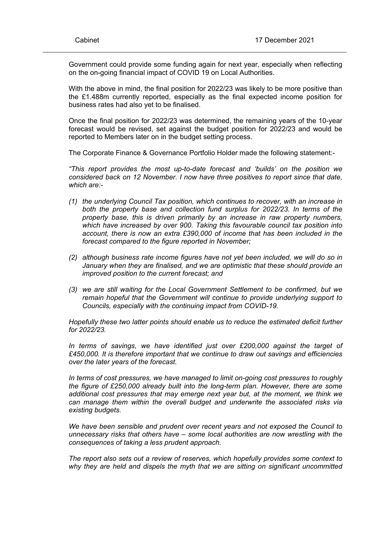Government could provide some funding again for next year, especially when reflecting on the on-going financial impact of COVID 19 on Local Authorities.

With the above in mind, the final position for 2022/23 was likely to be more positive than the £1.488m currently reported, especially as the final expected income position for business rates had also yet to be finalised.

Once the final position for 2022/23 was determined, the remaining years of the 10-year forecast would be revised, set against the budget position for 2022/23 and would be reported to Members later on in the budget setting process.

The Corporate Finance & Governance Portfolio Holder made the following statement:-

*"This report provides the most up-to-date forecast and 'builds' on the position we considered back on 12 November. I now have three positives to report since that date, which are:-*

- *(1) the underlying Council Tax position, which continues to recover, with an increase in both the property base and collection fund surplus for 2022/23. In terms of the property base, this is driven primarily by an increase in raw property numbers, which have increased by over 900. Taking this favourable council tax position into account, there is now an extra £390,000 of income that has been included in the forecast compared to the figure reported in November;*
- *(2) although business rate income figures have not yet been included, we will do so in January when they are finalised, and we are optimistic that these should provide an improved position to the current forecast; and*
- *(3) we are still waiting for the Local Government Settlement to be confirmed, but we remain hopeful that the Government will continue to provide underlying support to Councils, especially with the continuing impact from COVID-19.*

*Hopefully these two latter points should enable us to reduce the estimated deficit further for 2022/23.*

*In terms of savings, we have identified just over £200,000 against the target of £450,000. It is therefore important that we continue to draw out savings and efficiencies over the later years of the forecast.*

*In terms of cost pressures, we have managed to limit on-going cost pressures to roughly the figure of £250,000 already built into the long-term plan. However, there are some additional cost pressures that may emerge next year but, at the moment, we think we can manage them within the overall budget and underwrite the associated risks via existing budgets.*

*We have been sensible and prudent over recent years and not exposed the Council to unnecessary risks that others have – some local authorities are now wrestling with the consequences of taking a less prudent approach.*

*The report also sets out a review of reserves, which hopefully provides some context to why they are held and dispels the myth that we are sitting on significant uncommitted*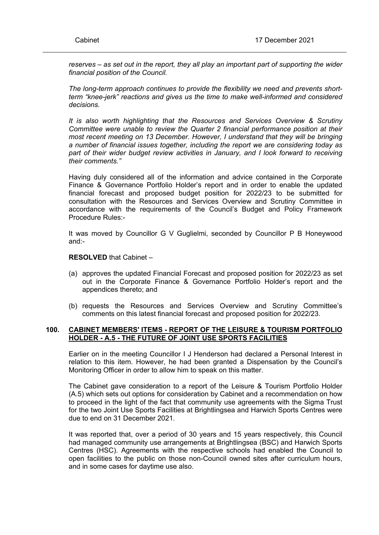*reserves – as set out in the report, they all play an important part of supporting the wider financial position of the Council.*

*The long-term approach continues to provide the flexibility we need and prevents shortterm "knee-jerk" reactions and gives us the time to make well-informed and considered decisions.*

*It is also worth highlighting that the Resources and Services Overview & Scrutiny Committee were unable to review the Quarter 2 financial performance position at their most recent meeting on 13 December. However, I understand that they will be bringing a number of financial issues together, including the report we are considering today as part of their wider budget review activities in January, and I look forward to receiving their comments."*

Having duly considered all of the information and advice contained in the Corporate Finance & Governance Portfolio Holder's report and in order to enable the updated financial forecast and proposed budget position for 2022/23 to be submitted for consultation with the Resources and Services Overview and Scrutiny Committee in accordance with the requirements of the Council's Budget and Policy Framework Procedure Rules:-

It was moved by Councillor G V Guglielmi, seconded by Councillor P B Honeywood and:-

## **RESOLVED** that Cabinet –

- (a) approves the updated Financial Forecast and proposed position for 2022/23 as set out in the Corporate Finance & Governance Portfolio Holder's report and the appendices thereto; and
- (b) requests the Resources and Services Overview and Scrutiny Committee's comments on this latest financial forecast and proposed position for 2022/23.

## **100. CABINET MEMBERS' ITEMS - REPORT OF THE LEISURE & TOURISM PORTFOLIO HOLDER - A.5 - THE FUTURE OF JOINT USE SPORTS FACILITIES**

Earlier on in the meeting Councillor I J Henderson had declared a Personal Interest in relation to this item. However, he had been granted a Dispensation by the Council's Monitoring Officer in order to allow him to speak on this matter.

The Cabinet gave consideration to a report of the Leisure & Tourism Portfolio Holder (A.5) which sets out options for consideration by Cabinet and a recommendation on how to proceed in the light of the fact that community use agreements with the Sigma Trust for the two Joint Use Sports Facilities at Brightlingsea and Harwich Sports Centres were due to end on 31 December 2021.

It was reported that, over a period of 30 years and 15 years respectively, this Council had managed community use arrangements at Brightlingsea (BSC) and Harwich Sports Centres (HSC). Agreements with the respective schools had enabled the Council to open facilities to the public on those non-Council owned sites after curriculum hours, and in some cases for daytime use also.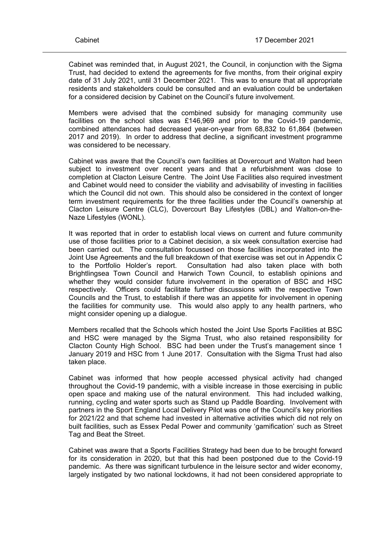Cabinet was reminded that, in August 2021, the Council, in conjunction with the Sigma Trust, had decided to extend the agreements for five months, from their original expiry date of 31 July 2021, until 31 December 2021. This was to ensure that all appropriate residents and stakeholders could be consulted and an evaluation could be undertaken for a considered decision by Cabinet on the Council's future involvement.

Members were advised that the combined subsidy for managing community use facilities on the school sites was £146,969 and prior to the Covid-19 pandemic, combined attendances had decreased year-on-year from 68,832 to 61,864 (between 2017 and 2019). In order to address that decline, a significant investment programme was considered to be necessary.

Cabinet was aware that the Council's own facilities at Dovercourt and Walton had been subject to investment over recent years and that a refurbishment was close to completion at Clacton Leisure Centre. The Joint Use Facilities also required investment and Cabinet would need to consider the viability and advisability of investing in facilities which the Council did not own. This should also be considered in the context of longer term investment requirements for the three facilities under the Council's ownership at Clacton Leisure Centre (CLC), Dovercourt Bay Lifestyles (DBL) and Walton-on-the-Naze Lifestyles (WONL).

It was reported that in order to establish local views on current and future community use of those facilities prior to a Cabinet decision, a six week consultation exercise had been carried out. The consultation focussed on those facilities incorporated into the Joint Use Agreements and the full breakdown of that exercise was set out in Appendix C to the Portfolio Holder's report. Consultation had also taken place with both Brightlingsea Town Council and Harwich Town Council, to establish opinions and whether they would consider future involvement in the operation of BSC and HSC respectively. Officers could facilitate further discussions with the respective Town Councils and the Trust, to establish if there was an appetite for involvement in opening the facilities for community use. This would also apply to any health partners, who might consider opening up a dialogue.

Members recalled that the Schools which hosted the Joint Use Sports Facilities at BSC and HSC were managed by the Sigma Trust, who also retained responsibility for Clacton County High School. BSC had been under the Trust's management since 1 January 2019 and HSC from 1 June 2017. Consultation with the Sigma Trust had also taken place.

Cabinet was informed that how people accessed physical activity had changed throughout the Covid-19 pandemic, with a visible increase in those exercising in public open space and making use of the natural environment. This had included walking, running, cycling and water sports such as Stand up Paddle Boarding. Involvement with partners in the Sport England Local Delivery Pilot was one of the Council's key priorities for 2021/22 and that scheme had invested in alternative activities which did not rely on built facilities, such as Essex Pedal Power and community 'gamification' such as Street Tag and Beat the Street.

Cabinet was aware that a Sports Facilities Strategy had been due to be brought forward for its consideration in 2020, but that this had been postponed due to the Covid-19 pandemic. As there was significant turbulence in the leisure sector and wider economy, largely instigated by two national lockdowns, it had not been considered appropriate to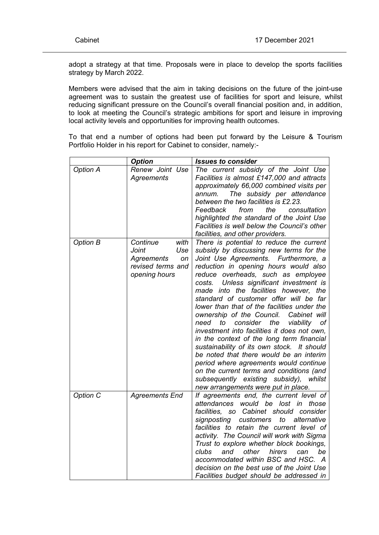adopt a strategy at that time. Proposals were in place to develop the sports facilities strategy by March 2022.

Members were advised that the aim in taking decisions on the future of the joint-use agreement was to sustain the greatest use of facilities for sport and leisure, whilst reducing significant pressure on the Council's overall financial position and, in addition, to look at meeting the Council's strategic ambitions for sport and leisure in improving local activity levels and opportunities for improving health outcomes.

To that end a number of options had been put forward by the Leisure & Tourism Portfolio Holder in his report for Cabinet to consider, namely:-

|                 | <b>Option</b>                                                                              | <b>Issues to consider</b>                                                                                                                                                                                                                                                                                                                                                                                                                                                                                                                                                                                                                                                                                                                                                                                                                                     |
|-----------------|--------------------------------------------------------------------------------------------|---------------------------------------------------------------------------------------------------------------------------------------------------------------------------------------------------------------------------------------------------------------------------------------------------------------------------------------------------------------------------------------------------------------------------------------------------------------------------------------------------------------------------------------------------------------------------------------------------------------------------------------------------------------------------------------------------------------------------------------------------------------------------------------------------------------------------------------------------------------|
| <b>Option A</b> | Renew Joint Use<br>Agreements                                                              | The current subsidy of the Joint Use<br>Facilities is almost £147,000 and attracts<br>approximately 66,000 combined visits per<br>The subsidy per attendance<br>annum.<br>between the two facilities is £2.23.<br>Feedback<br>from<br>the<br>consultation<br>highlighted the standard of the Joint Use<br>Facilities is well below the Council's other<br>facilities, and other providers.                                                                                                                                                                                                                                                                                                                                                                                                                                                                    |
| <b>Option B</b> | Continue<br>with<br>Joint<br>Use<br>Agreements<br>on<br>revised terms and<br>opening hours | There is potential to reduce the current<br>subsidy by discussing new terms for the<br>Joint Use Agreements.<br>Furthermore, a<br>reduction in opening hours would also<br>reduce overheads, such as employee<br>costs.<br>Unless significant investment is<br>made into the facilities however, the<br>standard of customer offer will be far<br>lower than that of the facilities under the<br>ownership of the Council.<br>Cabinet will<br>consider<br>the<br>viability<br>of<br>need<br>to<br>investment into facilities it does not own,<br>in the context of the long term financial<br>sustainability of its own stock. It should<br>be noted that there would be an interim<br>period where agreements would continue<br>on the current terms and conditions (and<br>subsequently existing subsidy),<br>whilst<br>new arrangements were put in place. |
| Option C        | <b>Agreements End</b>                                                                      | If agreements end, the current level of<br>attendances would be lost in<br>those<br>facilities, so<br>Cabinet should consider<br>signposting<br>customers<br>to<br>alternative<br>facilities to retain the current level of<br>activity. The Council will work with Sigma<br>Trust to explore whether block bookings,<br>clubs<br>other<br>hirers<br>and<br>can<br>be<br>accommodated within BSC and HSC. A<br>decision on the best use of the Joint Use<br>Facilities budget should be addressed in                                                                                                                                                                                                                                                                                                                                                          |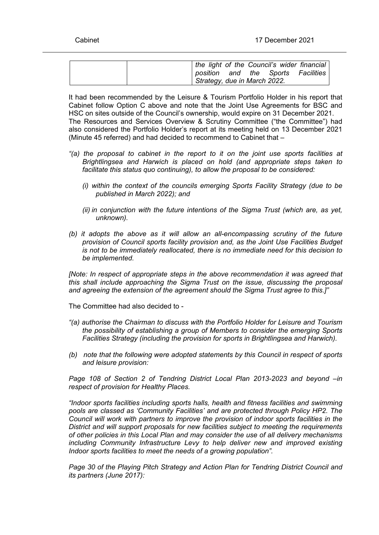| the light of the Council's wider financial  |
|---------------------------------------------|
| Facilities<br>the Sports<br>and<br>position |
| Strategy, due in March 2022.                |

It had been recommended by the Leisure & Tourism Portfolio Holder in his report that Cabinet follow Option C above and note that the Joint Use Agreements for BSC and HSC on sites outside of the Council's ownership, would expire on 31 December 2021. The Resources and Services Overview & Scrutiny Committee ("the Committee") had also considered the Portfolio Holder's report at its meeting held on 13 December 2021 (Minute 45 referred) and had decided to recommend to Cabinet that –

- *"(a) the proposal to cabinet in the report to it on the joint use sports facilities at Brightlingsea and Harwich is placed on hold (and appropriate steps taken to facilitate this status quo continuing), to allow the proposal to be considered:*
	- *(i) within the context of the councils emerging Sports Facility Strategy (due to be published in March 2022); and*
	- *(ii) in conjunction with the future intentions of the Sigma Trust (which are, as yet, unknown).*
- *(b) it adopts the above as it will allow an all-encompassing scrutiny of the future provision of Council sports facility provision and, as the Joint Use Facilities Budget is not to be immediately reallocated, there is no immediate need for this decision to be implemented.*

*[Note: In respect of appropriate steps in the above recommendation it was agreed that this shall include approaching the Sigma Trust on the issue, discussing the proposal and agreeing the extension of the agreement should the Sigma Trust agree to this.]"*

The Committee had also decided to -

- *"(a) authorise the Chairman to discuss with the Portfolio Holder for Leisure and Tourism the possibility of establishing a group of Members to consider the emerging Sports Facilities Strategy (including the provision for sports in Brightlingsea and Harwich).*
- *(b) note that the following were adopted statements by this Council in respect of sports and leisure provision:*

*Page 108 of Section 2 of Tendring District Local Plan 2013-2023 and beyond –in respect of provision for Healthy Places.*

*"Indoor sports facilities including sports halls, health and fitness facilities and swimming pools are classed as 'Community Facilities' and are protected through Policy HP2. The Council will work with partners to improve the provision of indoor sports facilities in the District and will support proposals for new facilities subject to meeting the requirements of other policies in this Local Plan and may consider the use of all delivery mechanisms including Community Infrastructure Levy to help deliver new and improved existing Indoor sports facilities to meet the needs of a growing population".*

*Page 30 of the Playing Pitch Strategy and Action Plan for Tendring District Council and its partners (June 2017):*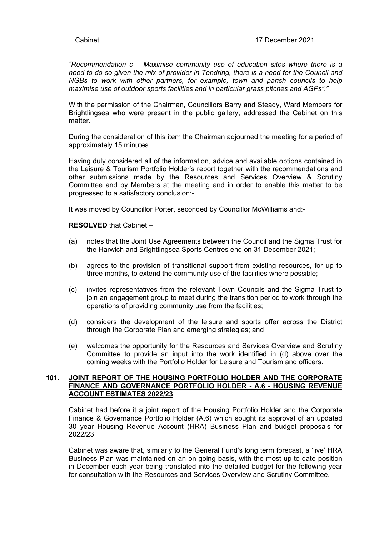*"Recommendation c – Maximise community use of education sites where there is a need to do so given the mix of provider in Tendring, there is a need for the Council and NGBs to work with other partners, for example, town and parish councils to help maximise use of outdoor sports facilities and in particular grass pitches and AGPs"."*

With the permission of the Chairman, Councillors Barry and Steady, Ward Members for Brightlingsea who were present in the public gallery, addressed the Cabinet on this matter.

During the consideration of this item the Chairman adjourned the meeting for a period of approximately 15 minutes.

Having duly considered all of the information, advice and available options contained in the Leisure & Tourism Portfolio Holder's report together with the recommendations and other submissions made by the Resources and Services Overview & Scrutiny Committee and by Members at the meeting and in order to enable this matter to be progressed to a satisfactory conclusion:-

It was moved by Councillor Porter, seconded by Councillor McWilliams and:-

**RESOLVED** that Cabinet –

- (a) notes that the Joint Use Agreements between the Council and the Sigma Trust for the Harwich and Brightlingsea Sports Centres end on 31 December 2021;
- (b) agrees to the provision of transitional support from existing resources, for up to three months, to extend the community use of the facilities where possible;
- (c) invites representatives from the relevant Town Councils and the Sigma Trust to join an engagement group to meet during the transition period to work through the operations of providing community use from the facilities;
- (d) considers the development of the leisure and sports offer across the District through the Corporate Plan and emerging strategies; and
- (e) welcomes the opportunity for the Resources and Services Overview and Scrutiny Committee to provide an input into the work identified in (d) above over the coming weeks with the Portfolio Holder for Leisure and Tourism and officers.

## **101. JOINT REPORT OF THE HOUSING PORTFOLIO HOLDER AND THE CORPORATE FINANCE AND GOVERNANCE PORTFOLIO HOLDER - A.6 - HOUSING REVENUE ACCOUNT ESTIMATES 2022/23**

Cabinet had before it a joint report of the Housing Portfolio Holder and the Corporate Finance & Governance Portfolio Holder (A.6) which sought its approval of an updated 30 year Housing Revenue Account (HRA) Business Plan and budget proposals for 2022/23.

Cabinet was aware that, similarly to the General Fund's long term forecast, a 'live' HRA Business Plan was maintained on an on-going basis, with the most up-to-date position in December each year being translated into the detailed budget for the following year for consultation with the Resources and Services Overview and Scrutiny Committee.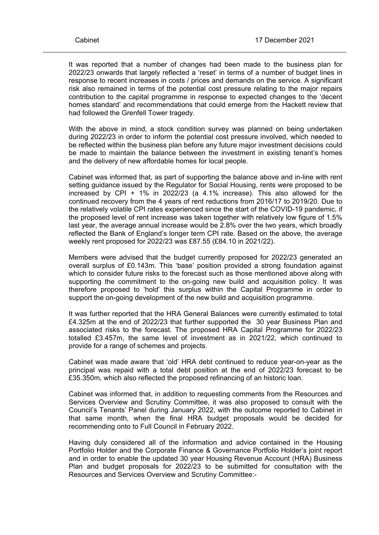It was reported that a number of changes had been made to the business plan for 2022/23 onwards that largely reflected a 'reset' in terms of a number of budget lines in response to recent increases in costs / prices and demands on the service. A significant risk also remained in terms of the potential cost pressure relating to the major repairs contribution to the capital programme in response to expected changes to the 'decent homes standard' and recommendations that could emerge from the Hackett review that had followed the Grenfell Tower tragedy.

With the above in mind, a stock condition survey was planned on being undertaken during 2022/23 in order to inform the potential cost pressure involved, which needed to be reflected within the business plan before any future major investment decisions could be made to maintain the balance between the investment in existing tenant's homes and the delivery of new affordable homes for local people.

Cabinet was informed that, as part of supporting the balance above and in-line with rent setting guidance issued by the Regulator for Social Housing, rents were proposed to be increased by CPI + 1% in 2022/23 (a 4.1% increase). This also allowed for the continued recovery from the 4 years of rent reductions from 2016/17 to 2019/20. Due to the relatively volatile CPI rates experienced since the start of the COVID-19 pandemic, if the proposed level of rent increase was taken together with relatively low figure of 1.5% last year, the average annual increase would be 2.8% over the two years, which broadly reflected the Bank of England's longer term CPI rate. Based on the above, the average weekly rent proposed for 2022/23 was £87.55 (£84.10 in 2021/22).

Members were advised that the budget currently proposed for 2022/23 generated an overall surplus of £0.143m. This 'base' position provided a strong foundation against which to consider future risks to the forecast such as those mentioned above along with supporting the commitment to the on-going new build and acquisition policy. It was therefore proposed to 'hold' this surplus within the Capital Programme in order to support the on-going development of the new build and acquisition programme.

It was further reported that the HRA General Balances were currently estimated to total £4.325m at the end of 2022/23 that further supported the 30 year Business Plan and associated risks to the forecast. The proposed HRA Capital Programme for 2022/23 totalled £3.457m, the same level of investment as in 2021/22, which continued to provide for a range of schemes and projects.

Cabinet was made aware that 'old' HRA debt continued to reduce year-on-year as the principal was repaid with a total debt position at the end of 2022/23 forecast to be £35.350m, which also reflected the proposed refinancing of an historic loan.

Cabinet was informed that, in addition to requesting comments from the Resources and Services Overview and Scrutiny Committee, it was also proposed to consult with the Council's Tenants' Panel during January 2022, with the outcome reported to Cabinet in that same month, when the final HRA budget proposals would be decided for recommending onto to Full Council in February 2022.

Having duly considered all of the information and advice contained in the Housing Portfolio Holder and the Corporate Finance & Governance Portfolio Holder's joint report and in order to enable the updated 30 year Housing Revenue Account (HRA) Business Plan and budget proposals for 2022/23 to be submitted for consultation with the Resources and Services Overview and Scrutiny Committee:-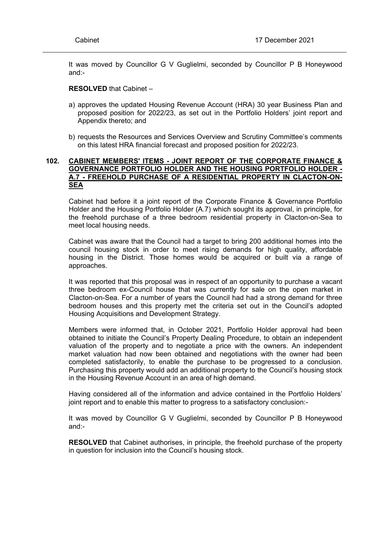It was moved by Councillor G V Guglielmi, seconded by Councillor P B Honeywood and:-

### **RESOLVED** that Cabinet –

- a) approves the updated Housing Revenue Account (HRA) 30 year Business Plan and proposed position for 2022/23, as set out in the Portfolio Holders' joint report and Appendix thereto; and
- b) requests the Resources and Services Overview and Scrutiny Committee's comments on this latest HRA financial forecast and proposed position for 2022/23.

## **102. CABINET MEMBERS' ITEMS - JOINT REPORT OF THE CORPORATE FINANCE & GOVERNANCE PORTFOLIO HOLDER AND THE HOUSING PORTFOLIO HOLDER - A.7 - FREEHOLD PURCHASE OF A RESIDENTIAL PROPERTY IN CLACTON-ON-SEA**

Cabinet had before it a joint report of the Corporate Finance & Governance Portfolio Holder and the Housing Portfolio Holder (A.7) which sought its approval, in principle, for the freehold purchase of a three bedroom residential property in Clacton-on-Sea to meet local housing needs.

Cabinet was aware that the Council had a target to bring 200 additional homes into the council housing stock in order to meet rising demands for high quality, affordable housing in the District. Those homes would be acquired or built via a range of approaches.

It was reported that this proposal was in respect of an opportunity to purchase a vacant three bedroom ex-Council house that was currently for sale on the open market in Clacton-on-Sea. For a number of years the Council had had a strong demand for three bedroom houses and this property met the criteria set out in the Council's adopted Housing Acquisitions and Development Strategy.

Members were informed that, in October 2021, Portfolio Holder approval had been obtained to initiate the Council's Property Dealing Procedure, to obtain an independent valuation of the property and to negotiate a price with the owners. An independent market valuation had now been obtained and negotiations with the owner had been completed satisfactorily, to enable the purchase to be progressed to a conclusion. Purchasing this property would add an additional property to the Council's housing stock in the Housing Revenue Account in an area of high demand.

Having considered all of the information and advice contained in the Portfolio Holders' joint report and to enable this matter to progress to a satisfactory conclusion:-

It was moved by Councillor G V Guglielmi, seconded by Councillor P B Honeywood and:-

**RESOLVED** that Cabinet authorises, in principle, the freehold purchase of the property in question for inclusion into the Council's housing stock.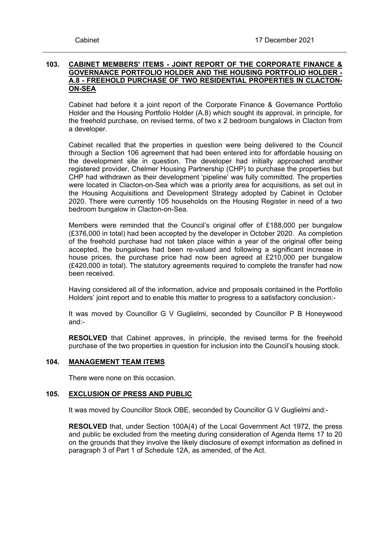## **103. CABINET MEMBERS' ITEMS - JOINT REPORT OF THE CORPORATE FINANCE & GOVERNANCE PORTFOLIO HOLDER AND THE HOUSING PORTFOLIO HOLDER - A.8 - FREEHOLD PURCHASE OF TWO RESIDENTIAL PROPERTIES IN CLACTON-ON-SEA**

Cabinet had before it a joint report of the Corporate Finance & Governance Portfolio Holder and the Housing Portfolio Holder (A.8) which sought its approval, in principle, for the freehold purchase, on revised terms, of two x 2 bedroom bungalows in Clacton from a developer.

Cabinet recalled that the properties in question were being delivered to the Council through a Section 106 agreement that had been entered into for affordable housing on the development site in question. The developer had initially approached another registered provider, Chelmer Housing Partnership (CHP) to purchase the properties but CHP had withdrawn as their development 'pipeline' was fully committed. The properties were located in Clacton-on-Sea which was a priority area for acquisitions, as set out in the Housing Acquisitions and Development Strategy adopted by Cabinet in October 2020. There were currently 105 households on the Housing Register in need of a two bedroom bungalow in Clacton-on-Sea.

Members were reminded that the Council's original offer of £188,000 per bungalow (£376,000 in total) had been accepted by the developer in October 2020. As completion of the freehold purchase had not taken place within a year of the original offer being accepted, the bungalows had been re-valued and following a significant increase in house prices, the purchase price had now been agreed at £210,000 per bungalow (£420,000 in total). The statutory agreements required to complete the transfer had now been received.

Having considered all of the information, advice and proposals contained in the Portfolio Holders' joint report and to enable this matter to progress to a satisfactory conclusion:-

It was moved by Councillor G V Guglielmi, seconded by Councillor P B Honeywood and:-

**RESOLVED** that Cabinet approves, in principle, the revised terms for the freehold purchase of the two properties in question for inclusion into the Council's housing stock.

## **104. MANAGEMENT TEAM ITEMS**

There were none on this occasion.

## **105. EXCLUSION OF PRESS AND PUBLIC**

It was moved by Councillor Stock OBE, seconded by Councillor G V Guglielmi and:-

**RESOLVED** that, under Section 100A(4) of the Local Government Act 1972, the press and public be excluded from the meeting during consideration of Agenda Items 17 to 20 on the grounds that they involve the likely disclosure of exempt information as defined in paragraph 3 of Part 1 of Schedule 12A, as amended, of the Act.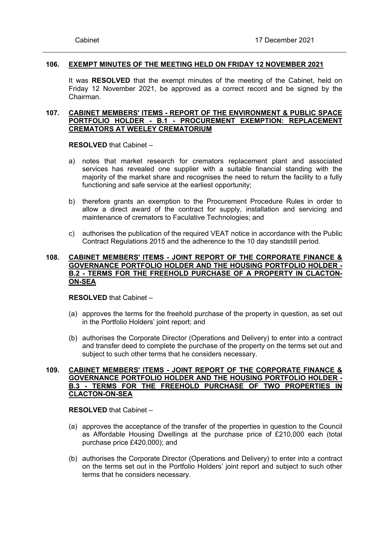## **106. EXEMPT MINUTES OF THE MEETING HELD ON FRIDAY 12 NOVEMBER 2021**

It was **RESOLVED** that the exempt minutes of the meeting of the Cabinet, held on Friday 12 November 2021, be approved as a correct record and be signed by the Chairman.

## **107. CABINET MEMBERS' ITEMS - REPORT OF THE ENVIRONMENT & PUBLIC SPACE PORTFOLIO HOLDER - B.1 - PROCUREMENT EXEMPTION: REPLACEMENT CREMATORS AT WEELEY CREMATORIUM**

**RESOLVED** that Cabinet –

- a) notes that market research for cremators replacement plant and associated services has revealed one supplier with a suitable financial standing with the majority of the market share and recognises the need to return the facility to a fully functioning and safe service at the earliest opportunity;
- b) therefore grants an exemption to the Procurement Procedure Rules in order to allow a direct award of the contract for supply, installation and servicing and maintenance of cremators to Faculative Technologies; and
- c) authorises the publication of the required VEAT notice in accordance with the Public Contract Regulations 2015 and the adherence to the 10 day standstill period.

## **108. CABINET MEMBERS' ITEMS - JOINT REPORT OF THE CORPORATE FINANCE & GOVERNANCE PORTFOLIO HOLDER AND THE HOUSING PORTFOLIO HOLDER - B.2 - TERMS FOR THE FREEHOLD PURCHASE OF A PROPERTY IN CLACTON-ON-SEA**

**RESOLVED** that Cabinet –

- (a) approves the terms for the freehold purchase of the property in question, as set out in the Portfolio Holders' joint report; and
- (b) authorises the Corporate Director (Operations and Delivery) to enter into a contract and transfer deed to complete the purchase of the property on the terms set out and subject to such other terms that he considers necessary.

## **109. CABINET MEMBERS' ITEMS - JOINT REPORT OF THE CORPORATE FINANCE & GOVERNANCE PORTFOLIO HOLDER AND THE HOUSING PORTFOLIO HOLDER - B.3 - TERMS FOR THE FREEHOLD PURCHASE OF TWO PROPERTIES IN CLACTON-ON-SEA**

**RESOLVED** that Cabinet –

- (a) approves the acceptance of the transfer of the properties in question to the Council as Affordable Housing Dwellings at the purchase price of £210,000 each (total purchase price £420,000); and
- (b) authorises the Corporate Director (Operations and Delivery) to enter into a contract on the terms set out in the Portfolio Holders' joint report and subject to such other terms that he considers necessary.